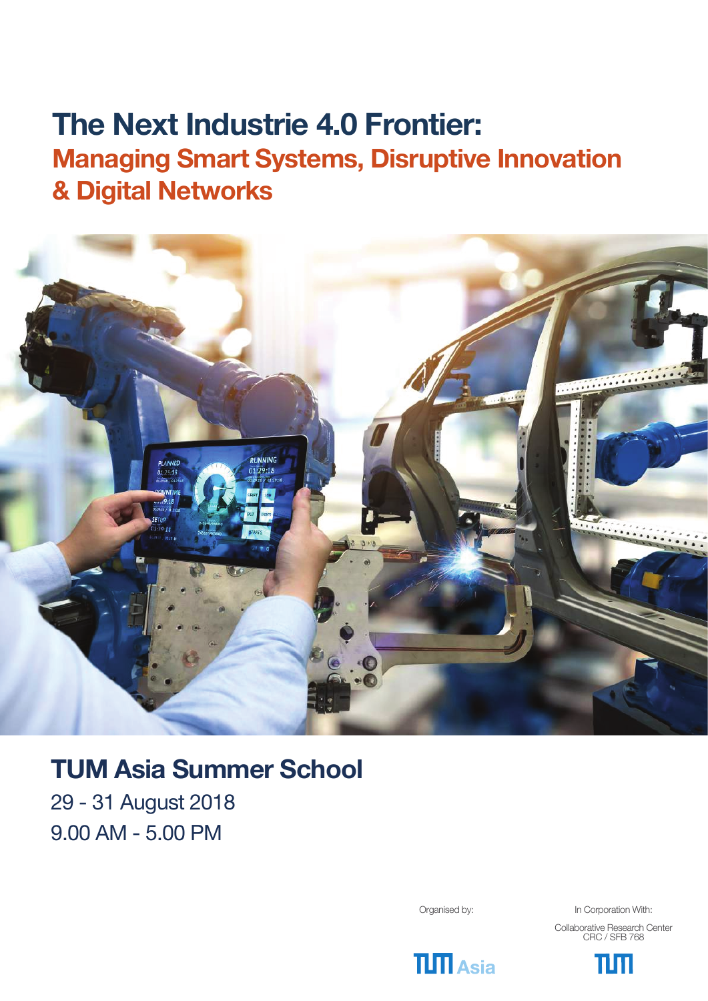# **The Next Industrie 4.0 Frontier: The Next Industrie 4.0 Frontier: Managing Smart Systems, Disruptive Innovation Managing Smart Systems, Disruptive Innovation & Digital Networks & Digital Networks**



# **TUM Asia Summer School**

29 - 31 August 2018 9.00 AM - 5.00 PM

Organised by: In Corporation With:

Collaborative Research Center CRC / SFB 768



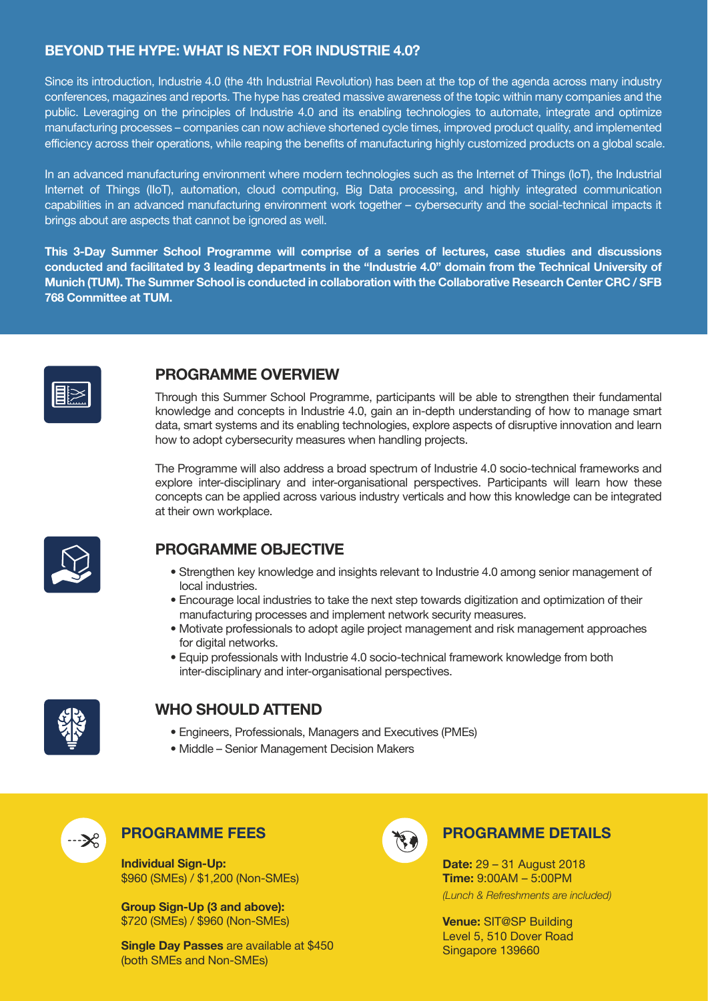# **BEYOND THE HYPE: WHAT IS NEXT FOR INDUSTRIE 4.0?**

Since its introduction, Industrie 4.0 (the 4th Industrial Revolution) has been at the top of the agenda across many industry conferences, magazines and reports. The hype has created massive awareness of the topic within many companies and the public. Leveraging on the principles of Industrie 4.0 and its enabling technologies to automate, integrate and optimize manufacturing processes – companies can now achieve shortened cycle times, improved product quality, and implemented efficiency across their operations, while reaping the benefits of manufacturing highly customized products on a global scale.

In an advanced manufacturing environment where modern technologies such as the Internet of Things (IoT), the Industrial Internet of Things (IIoT), automation, cloud computing, Big Data processing, and highly integrated communication capabilities in an advanced manufacturing environment work together – cybersecurity and the social-technical impacts it brings about are aspects that cannot be ignored as well.

**This 3-Day Summer School Programme will comprise of a series of lectures, case studies and discussions conducted and facilitated by 3 leading departments in the "Industrie 4.0" domain from the Technical University of Munich (TUM). The Summer School is conducted in collaboration with the Collaborative Research Center CRC / SFB 768 Committee at TUM.**



# **PROGRAMME OVERVIEW**

Through this Summer School Programme, participants will be able to strengthen their fundamental knowledge and concepts in Industrie 4.0, gain an in-depth understanding of how to manage smart data, smart systems and its enabling technologies, explore aspects of disruptive innovation and learn how to adopt cybersecurity measures when handling projects.

The Programme will also address a broad spectrum of Industrie 4.0 socio-technical frameworks and explore inter-disciplinary and inter-organisational perspectives. Participants will learn how these concepts can be applied across various industry verticals and how this knowledge can be integrated at their own workplace.



# **PROGRAMME OBJECTIVE**

- � Strengthen key knowledge and insights relevant to Industrie 4.0 among senior management of local industries.
- � Encourage local industries to take the next step towards digitization and optimization of their manufacturing processes and implement network security measures.
- � Motivate professionals to adopt agile project management and risk management approaches for digital networks.
- � Equip professionals with Industrie 4.0 socio-technical framework knowledge from both inter-disciplinary and inter-organisational perspectives.



# **WHO SHOULD ATTEND**

- � Engineers, Professionals, Managers and Executives (PMEs)
- � Middle Senior Management Decision Makers



# **PROGRAMME FEES**

**Individual Sign-Up:**  \$960 (SMEs) / \$1,200 (Non-SMEs)

**Group Sign-Up (3 and above):** \$720 (SMEs) / \$960 (Non-SMEs)

**Single Day Passes** are available at \$450 (both SMEs and Non-SMEs)



# **PROGRAMME DETAILS**

**Date:** 29 – 31 August 2018 **Time:** 9:00AM – 5:00PM *(Lunch & Refreshments are included)*

**Venue:** SIT@SP Building Level 5, 510 Dover Road Singapore 139660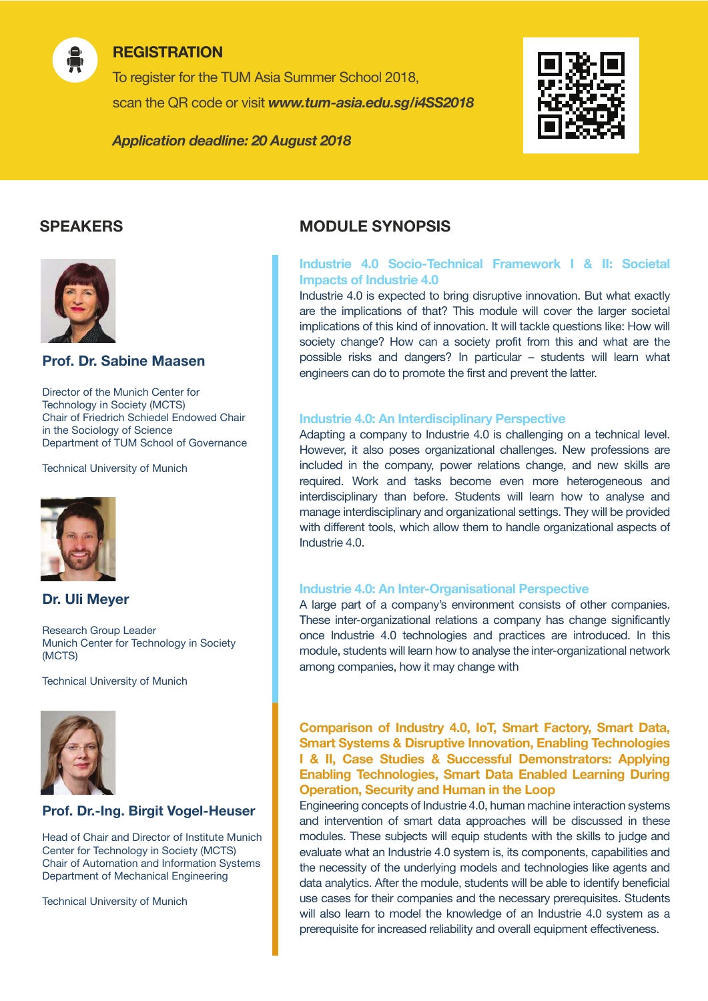

# **REGISTRATION**

To register for the TUM Asia Summer School 2018, scan the QR code or visit *www.tum-asia.edu.sg/i4SS2018*

*Application deadline: 20 August 2018*





# **Prof. Dr. Sabine Maasen**

Director of the Munich Center for Technology in Society (MCTS) Chair of Friedrich Schiedel Endowed Chair in the Sociology of Science Department of TUM School of Governance

Technical University of Munich



# **Dr. Uli Meyer**

Research Group Leader Munich Center for Technology in Society (MCTS)

Technical University of Munich



# **Prof. Dr.-Ing. Birgit Vogel-Heuser**

Head of Chair and Director of Institute Munich Center for Technology in Society (MCTS) Chair of Automation and Information Systems Department of Mechanical Engineering

Technical University of Munich

# **SPEAKERS MODULE SYNOPSIS**

#### **Industrie 4.0 Socio-Technical Framework I & II: Societal Impacts of Industrie 4.0**

Industrie 4.0 is expected to bring disruptive innovation. But what exactly are the implications of that? This module will cover the larger societal implications of this kind of innovation. It will tackle questions like: How will society change? How can a society profit from this and what are the possible risks and dangers? In particular – students will learn what engineers can do to promote the first and prevent the latter.

#### **Industrie 4.0: An Interdisciplinary Perspective**

Adapting a company to Industrie 4.0 is challenging on a technical level. However, it also poses organizational challenges. New professions are included in the company, power relations change, and new skills are required. Work and tasks become even more heterogeneous and interdisciplinary than before. Students will learn how to analyse and manage interdisciplinary and organizational settings. They will be provided with different tools, which allow them to handle organizational aspects of Industrie 4.0.

#### **Industrie 4.0: An Inter-Organisational Perspective**

A large part of a company's environment consists of other companies. These inter-organizational relations a company has change significantly once Industrie 4.0 technologies and practices are introduced. In this module, students will learn how to analyse the inter-organizational network among companies, how it may change with

#### **Comparison of Industry 4.0, IoT, Smart Factory, Smart Data, Smart Systems & Disruptive Innovation, Enabling Technologies I & II, Case Studies & Successful Demonstrators: Applying Enabling Technologies, Smart Data Enabled Learning During Operation, Security and Human in the Loop**

Engineering concepts of Industrie 4.0, human machine interaction systems and intervention of smart data approaches will be discussed in these modules. These subjects will equip students with the skills to judge and evaluate what an Industrie 4.0 system is, its components, capabilities and the necessity of the underlying models and technologies like agents and data analytics. After the module, students will be able to identify beneficial use cases for their companies and the necessary prerequisites. Students will also learn to model the knowledge of an Industrie 4.0 system as a prerequisite for increased reliability and overall equipment effectiveness.